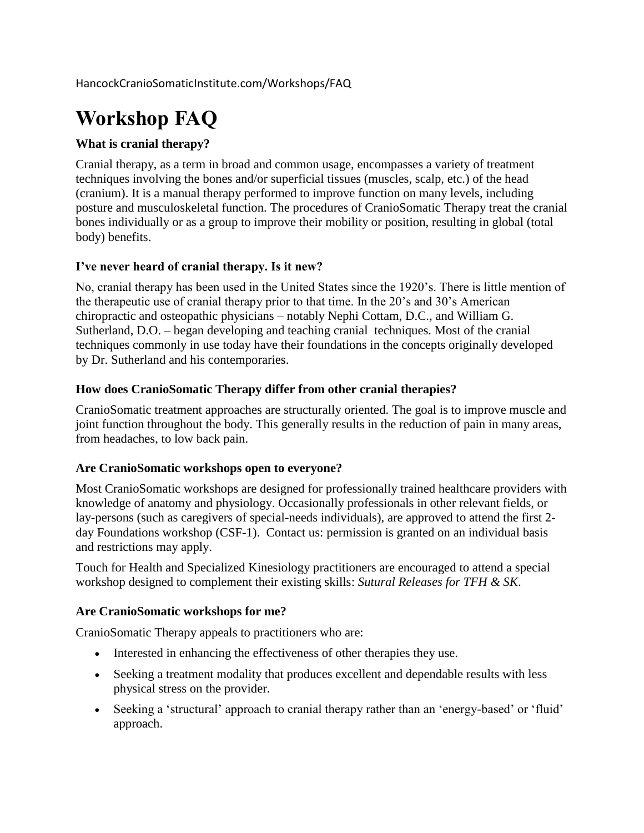HancockCranioSomaticInstitute.com/Workshops/FAQ

# **Workshop FAQ**

### **What is cranial therapy?**

Cranial therapy, as a term in broad and common usage, encompasses a variety of treatment techniques involving the bones and/or superficial tissues (muscles, scalp, etc.) of the head (cranium). It is a manual therapy performed to improve function on many levels, including posture and musculoskeletal function. The procedures of CranioSomatic Therapy treat the cranial bones individually or as a group to improve their mobility or position, resulting in global (total body) benefits.

#### **I've never heard of cranial therapy. Is it new?**

No, cranial therapy has been used in the United States since the 1920's. There is little mention of the therapeutic use of cranial therapy prior to that time. In the 20's and 30's American chiropractic and osteopathic physicians – notably Nephi Cottam, D.C., and William G. Sutherland, D.O. – began developing and teaching cranial techniques. Most of the cranial techniques commonly in use today have their foundations in the concepts originally developed by Dr. Sutherland and his contemporaries.

#### **How does CranioSomatic Therapy differ from other cranial therapies?**

CranioSomatic treatment approaches are structurally oriented. The goal is to improve muscle and joint function throughout the body. This generally results in the reduction of pain in many areas, from headaches, to low back pain.

#### **Are CranioSomatic workshops open to everyone?**

Most CranioSomatic workshops are designed for professionally trained healthcare providers with knowledge of anatomy and physiology. Occasionally professionals in other relevant fields, or lay-persons (such as caregivers of special-needs individuals), are approved to attend the first 2 day Foundations workshop (CSF-1). Contact us: permission is granted on an individual basis and restrictions may apply.

Touch for Health and Specialized Kinesiology practitioners are encouraged to attend a special workshop designed to complement their existing skills: *Sutural Releases for TFH & SK*.

#### **Are CranioSomatic workshops for me?**

CranioSomatic Therapy appeals to practitioners who are:

- Interested in enhancing the effectiveness of other therapies they use.
- Seeking a treatment modality that produces excellent and dependable results with less physical stress on the provider.
- Seeking a 'structural' approach to cranial therapy rather than an 'energy-based' or 'fluid' approach.